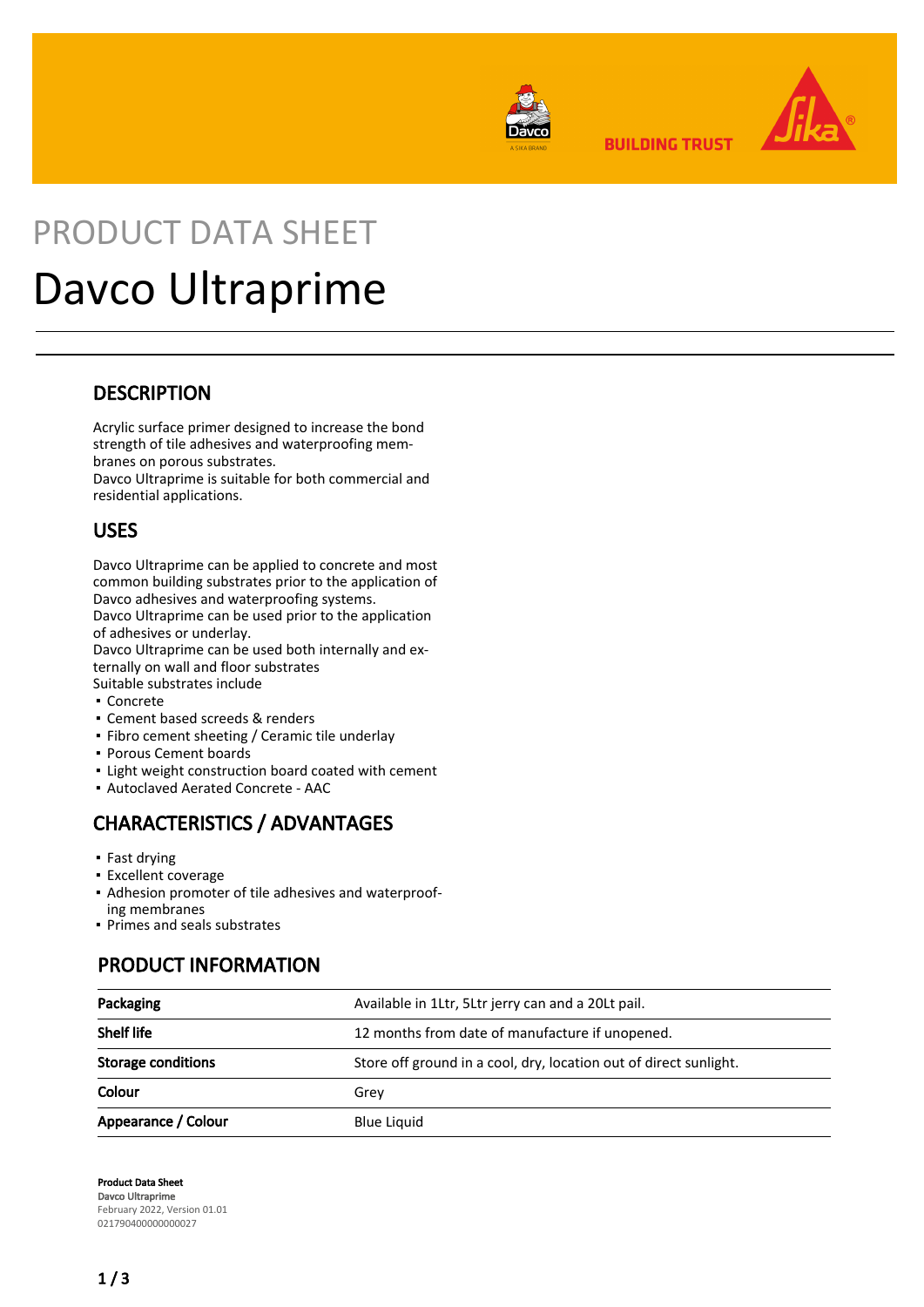

**BUILDING TRUST** 



# PRODUCT DATA SHEET Davco Ultraprime

#### **DESCRIPTION**

Acrylic surface primer designed to increase the bond strength of tile adhesives and waterproofing membranes on porous substrates.

Davco Ultraprime is suitable for both commercial and residential applications.

#### USES

Davco Ultraprime can be applied to concrete and most common building substrates prior to the application of Davco adhesives and waterproofing systems.

Davco Ultraprime can be used prior to the application of adhesives or underlay.

Davco Ultraprime can be used both internally and externally on wall and floor substrates

- Suitable substrates include ▪ Concrete
- Cement based screeds & renders
- Fibro cement sheeting / Ceramic tile underlay
- Porous Cement boards
- **.** Light weight construction board coated with cement
- Autoclaved Aerated Concrete AAC

# CHARACTERISTICS / ADVANTAGES

- Fast drying
- **Excellent coverage**
- Adhesion promoter of tile adhesives and waterproof-▪ ing membranes
- Primes and seals substrates

## PRODUCT INFORMATION

| Packaging           | Available in 1Ltr, 5Ltr jerry can and a 20Lt pail.                |  |
|---------------------|-------------------------------------------------------------------|--|
| <b>Shelf life</b>   | 12 months from date of manufacture if unopened.                   |  |
| Storage conditions  | Store off ground in a cool, dry, location out of direct sunlight. |  |
| Colour              | Grev                                                              |  |
| Appearance / Colour | <b>Blue Liquid</b>                                                |  |

Product Data Sheet Davco Ultraprime February 2022, Version 01.01 021790400000000027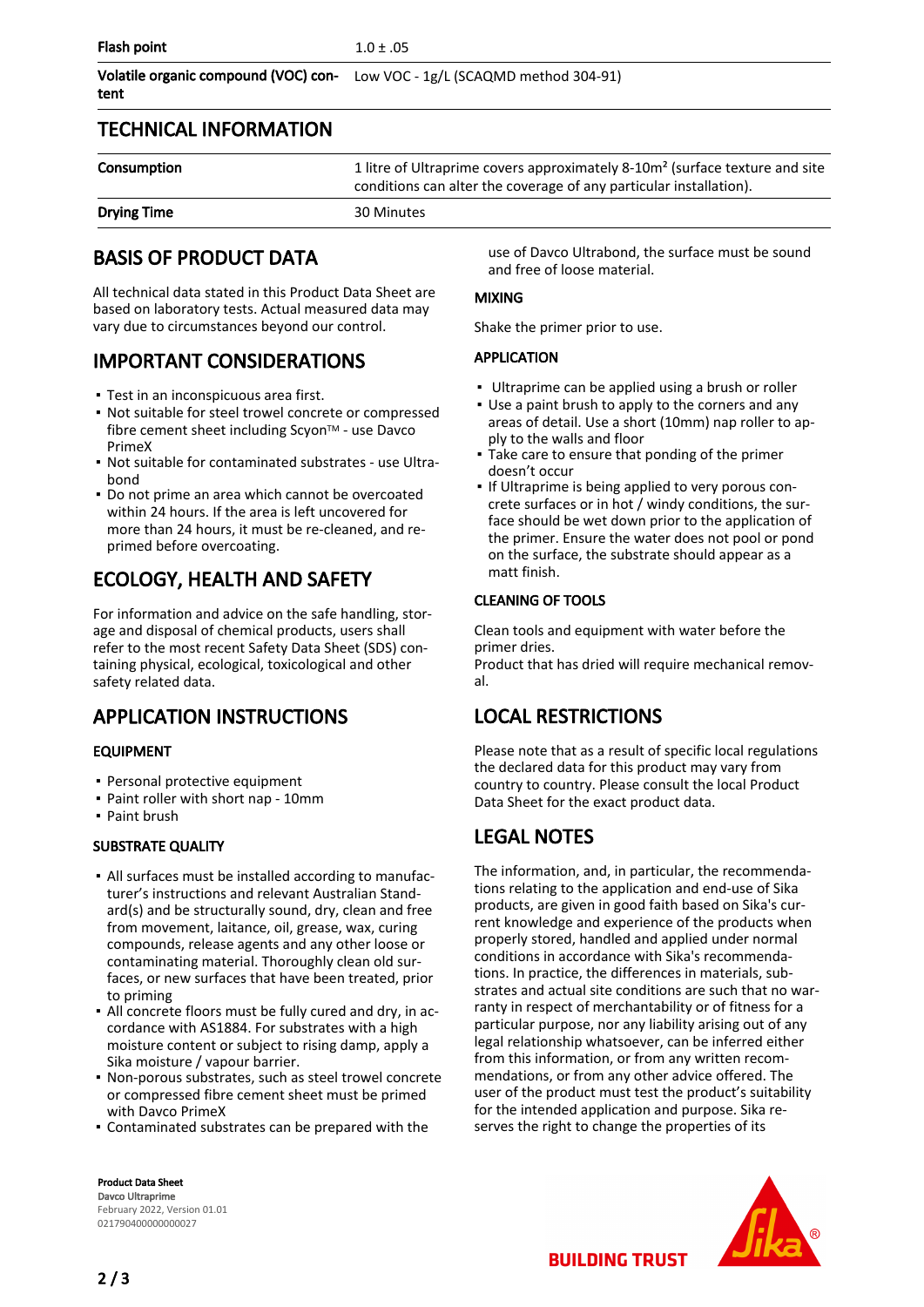|      | Volatile organic compound (VOC) con-<br>Low VOC - 1g/L (SCAQMD method 304-91) |
|------|-------------------------------------------------------------------------------|
| tent |                                                                               |

#### TECHNICAL INFORMATION

| Consumption        | 1 litre of Ultraprime covers approximately 8-10m <sup>2</sup> (surface texture and site<br>conditions can alter the coverage of any particular installation). |
|--------------------|---------------------------------------------------------------------------------------------------------------------------------------------------------------|
| <b>Drying Time</b> | 30 Minutes                                                                                                                                                    |

#### BASIS OF PRODUCT DATA

All technical data stated in this Product Data Sheet are based on laboratory tests. Actual measured data may vary due to circumstances beyond our control.

### IMPORTANT CONSIDERATIONS

- Test in an inconspicuous area first.
- Not suitable for steel trowel concrete or compressed fibre cement sheet including Scyon™ - use Davco PrimeX
- Not suitable for contaminated substrates use Ultra-▪ bond
- Do not prime an area which cannot be overcoated within 24 hours. If the area is left uncovered for more than 24 hours, it must be re-cleaned, and reprimed before overcoating.

## ECOLOGY, HEALTH AND SAFETY

For information and advice on the safe handling, storage and disposal of chemical products, users shall refer to the most recent Safety Data Sheet (SDS) containing physical, ecological, toxicological and other safety related data.

## APPLICATION INSTRUCTIONS

#### EQUIPMENT

- Personal protective equipment
- Paint roller with short nap 10mm
- Paint brush

#### SUBSTRATE QUALITY

- All surfaces must be installed according to manufac-▪ turer's instructions and relevant Australian Standard(s) and be structurally sound, dry, clean and free from movement, laitance, oil, grease, wax, curing compounds, release agents and any other loose or contaminating material. Thoroughly clean old surfaces, or new surfaces that have been treated, prior to priming
- All concrete floors must be fully cured and dry, in ac-▪ cordance with AS1884. For substrates with a high moisture content or subject to rising damp, apply a Sika moisture / vapour barrier.
- Non-porous substrates, such as steel trowel concrete or compressed fibre cement sheet must be primed with Davco PrimeX
- Contaminated substrates can be prepared with the

Product Data Sheet Davco Ultraprime February 2022, Version 01.01 021790400000000027

use of Davco Ultrabond, the surface must be sound and free of loose material.

#### MIXING

Shake the primer prior to use.

#### APPLICATION

- **Ultraprime can be applied using a brush or roller**
- Use a paint brush to apply to the corners and any areas of detail. Use a short (10mm) nap roller to apply to the walls and floor
- Take care to ensure that ponding of the primer doesn't occur
- If Ultraprime is being applied to very porous concrete surfaces or in hot / windy conditions, the surface should be wet down prior to the application of the primer. Ensure the water does not pool or pond on the surface, the substrate should appear as a matt finish. ▪

#### CLEANING OF TOOLS

Clean tools and equipment with water before the primer dries.

Product that has dried will require mechanical removal.

## LOCAL RESTRICTIONS

Please note that as a result of specific local regulations the declared data for this product may vary from country to country. Please consult the local Product Data Sheet for the exact product data.

## LEGAL NOTES

The information, and, in particular, the recommendations relating to the application and end-use of Sika products, are given in good faith based on Sika's current knowledge and experience of the products when properly stored, handled and applied under normal conditions in accordance with Sika's recommendations. In practice, the differences in materials, substrates and actual site conditions are such that no warranty in respect of merchantability or of fitness for a particular purpose, nor any liability arising out of any legal relationship whatsoever, can be inferred either from this information, or from any written recommendations, or from any other advice offered. The user of the product must test the product's suitability for the intended application and purpose. Sika reserves the right to change the properties of its



**BUILDING TRUST**